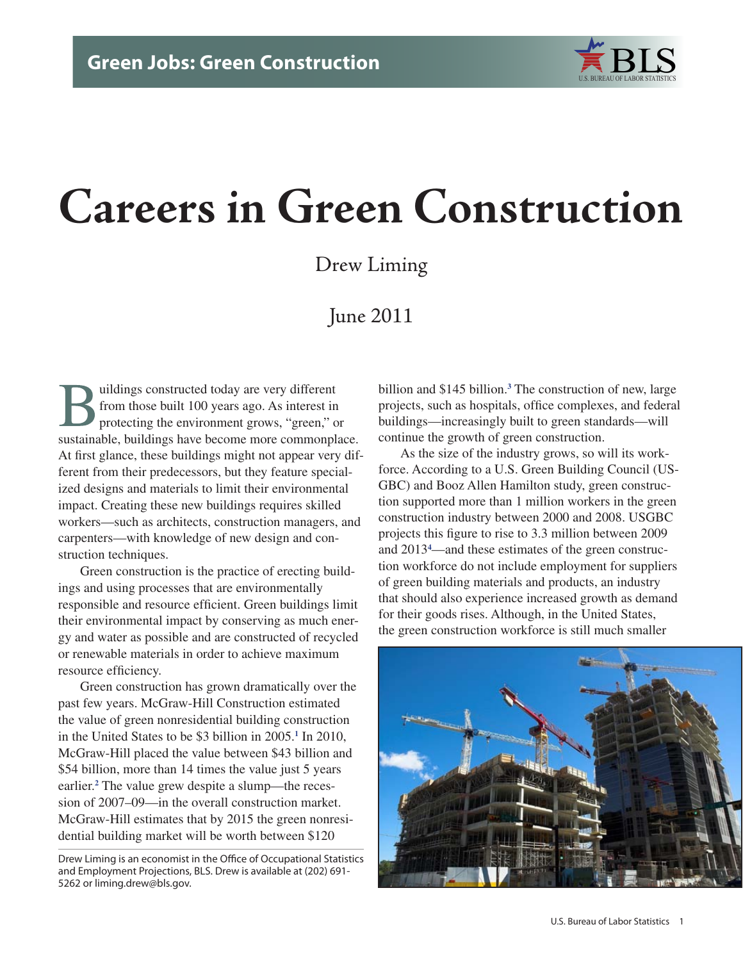

# **Careers in Green Construction**

Drew Liming

# June 2011

Buildings constructed today are very different<br>from those built 100 years ago. As interest in<br>protecting the environment grows, "green," o from those built 100 years ago. As interest in protecting the environment grows, "green," or sustainable, buildings have become more commonplace. At first glance, these buildings might not appear very different from their predecessors, but they feature specialized designs and materials to limit their environmental impact. Creating these new buildings requires skilled workers—such as architects, construction managers, and carpenters—with knowledge of new design and construction techniques.

Green construction is the practice of erecting buildings and using processes that are environmentally responsible and resource efficient. Green buildings limit their environmental impact by conserving as much energy and water as possible and are constructed of recycled or renewable materials in order to achieve maximum resource efficiency.

Green construction has grown dramatically over the past few years. McGraw-Hill Construction estimated the value of green nonresidential building construction in the United States to be \$3 billion in 2005.<sup>[1](#page-12-0)</sup> In 2010, McGraw-Hill placed the value between \$43 billion and \$54 billion, more than 14 times the value just 5 years earlier.**[2](#page-12-1)** The value grew despite a slump—the recession of 2007–09—in the overall construction market. McGraw-Hill estimates that by 2015 the green nonresidential building market will be worth between \$120

Drew Liming is an economist in the Office of Occupational Statistics and Employment Projections, BLS. Drew is available at (202) 691- 5262 or liming.drew@bls.gov.

billion and \$145 billion.**[3](#page-12-2)** The construction of new, large projects, such as hospitals, office complexes, and federal buildings—increasingly built to green standards—will continue the growth of green construction.

As the size of the industry grows, so will its workforce. According to a U.S. Green Building Council (US-GBC) and Booz Allen Hamilton study, green construction supported more than 1 million workers in the green construction industry between 2000 and 2008. USGBC projects this figure to rise to 3.3 million between 2009 and 2013**[4](#page-12-3)** —and these estimates of the green construction workforce do not include employment for suppliers of green building materials and products, an industry that should also experience increased growth as demand for their goods rises. Although, in the United States, the green construction workforce is still much smaller

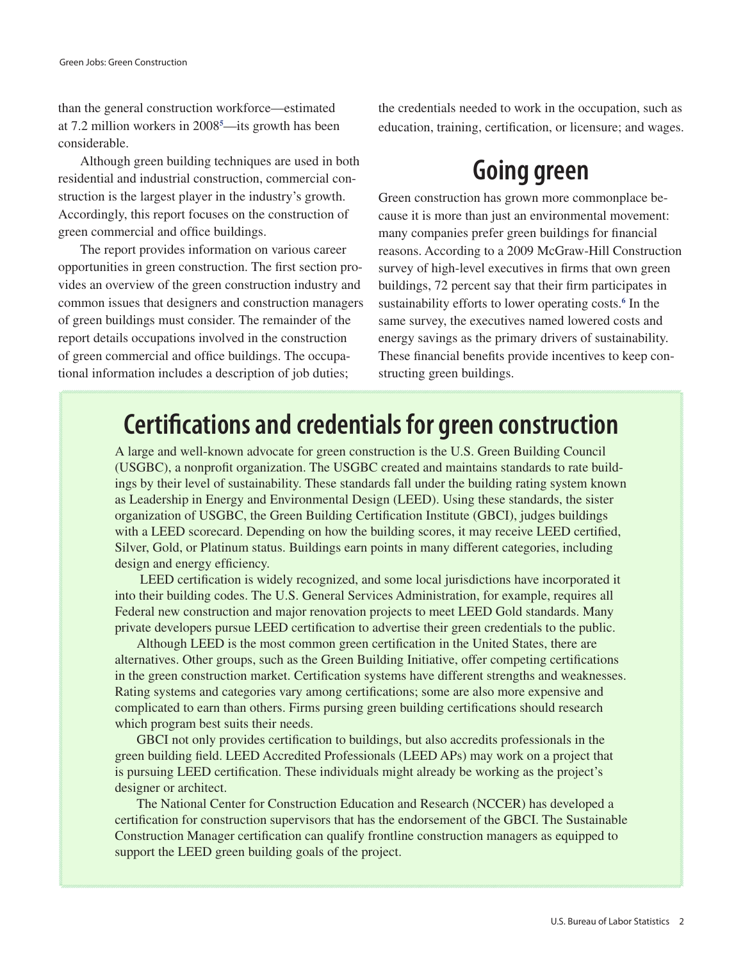than the general construction workforce—estimated at 7.2 million workers in 2008**[5](#page-12-4)** —its growth has been considerable.

Although green building techniques are used in both residential and industrial construction, commercial construction is the largest player in the industry's growth. Accordingly, this report focuses on the construction of green commercial and office buildings.

The report provides information on various career opportunities in green construction. The first section provides an overview of the green construction industry and common issues that designers and construction managers of green buildings must consider. The remainder of the report details occupations involved in the construction of green commercial and office buildings. The occupational information includes a description of job duties;

the credentials needed to work in the occupation, such as education, training, certification, or licensure; and wages.

# **Going green**

Green construction has grown more commonplace because it is more than just an environmental movement: many companies prefer green buildings for financial reasons. According to a 2009 McGraw-Hill Construction survey of high-level executives in firms that own green buildings, 72 percent say that their firm participates in sustainability efforts to lower operating costs.<sup>[6](#page-12-5)</sup> In the same survey, the executives named lowered costs and energy savings as the primary drivers of sustainability. These financial benefits provide incentives to keep constructing green buildings.

# **Certifications and credentials for green construction**

A large and well-known advocate for green construction is the U.S. Green Building Council (USGBC), a nonprofit organization. The USGBC created and maintains standards to rate buildings by their level of sustainability. These standards fall under the building rating system known as Leadership in Energy and Environmental Design (LEED). Using these standards, the sister organization of USGBC, the Green Building Certification Institute (GBCI), judges buildings with a LEED scorecard. Depending on how the building scores, it may receive LEED certified, Silver, Gold, or Platinum status. Buildings earn points in many different categories, including design and energy efficiency.

 LEED certification is widely recognized, and some local jurisdictions have incorporated it into their building codes. The U.S. General Services Administration, for example, requires all Federal new construction and major renovation projects to meet LEED Gold standards. Many private developers pursue LEED certification to advertise their green credentials to the public.

Although LEED is the most common green certification in the United States, there are alternatives. Other groups, such as the Green Building Initiative, offer competing certifications in the green construction market. Certification systems have different strengths and weaknesses. Rating systems and categories vary among certifications; some are also more expensive and complicated to earn than others. Firms pursing green building certifications should research which program best suits their needs.

GBCI not only provides certification to buildings, but also accredits professionals in the green building field. LEED Accredited Professionals (LEED APs) may work on a project that is pursuing LEED certification. These individuals might already be working as the project's designer or architect.

The National Center for Construction Education and Research (NCCER) has developed a certification for construction supervisors that has the endorsement of the GBCI. The Sustainable Construction Manager certification can qualify frontline construction managers as equipped to support the LEED green building goals of the project.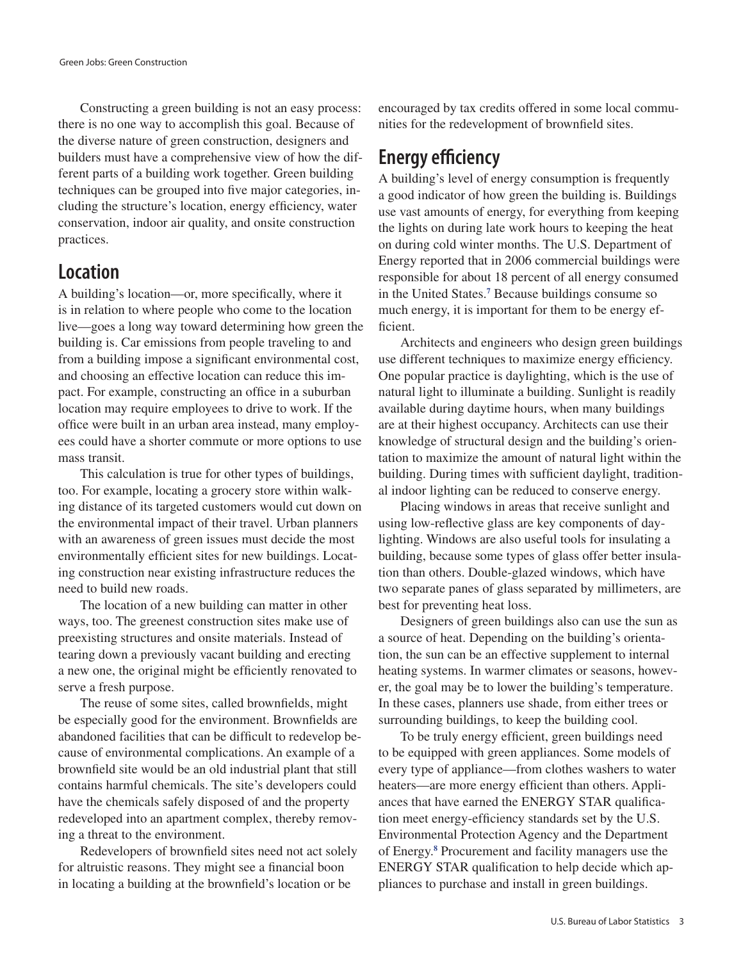Constructing a green building is not an easy process: there is no one way to accomplish this goal. Because of the diverse nature of green construction, designers and builders must have a comprehensive view of how the different parts of a building work together. Green building techniques can be grouped into five major categories, including the structure's location, energy efficiency, water conservation, indoor air quality, and onsite construction practices.

### **Location**

A building's location—or, more specifically, where it is in relation to where people who come to the location live—goes a long way toward determining how green the building is. Car emissions from people traveling to and from a building impose a significant environmental cost, and choosing an effective location can reduce this impact. For example, constructing an office in a suburban location may require employees to drive to work. If the office were built in an urban area instead, many employees could have a shorter commute or more options to use mass transit.

This calculation is true for other types of buildings, too. For example, locating a grocery store within walking distance of its targeted customers would cut down on the environmental impact of their travel. Urban planners with an awareness of green issues must decide the most environmentally efficient sites for new buildings. Locating construction near existing infrastructure reduces the need to build new roads.

The location of a new building can matter in other ways, too. The greenest construction sites make use of preexisting structures and onsite materials. Instead of tearing down a previously vacant building and erecting a new one, the original might be efficiently renovated to serve a fresh purpose.

The reuse of some sites, called brownfields, might be especially good for the environment. Brownfields are abandoned facilities that can be difficult to redevelop because of environmental complications. An example of a brownfield site would be an old industrial plant that still contains harmful chemicals. The site's developers could have the chemicals safely disposed of and the property redeveloped into an apartment complex, thereby removing a threat to the environment.

Redevelopers of brownfield sites need not act solely for altruistic reasons. They might see a financial boon in locating a building at the brownfield's location or be

encouraged by tax credits offered in some local communities for the redevelopment of brownfield sites.

### **Energy efficiency**

A building's level of energy consumption is frequently a good indicator of how green the building is. Buildings use vast amounts of energy, for everything from keeping the lights on during late work hours to keeping the heat on during cold winter months. The U.S. Department of Energy reported that in 2006 commercial buildings were responsible for about 18 percent of all energy consumed in the United States.**[7](#page-12-6)** Because buildings consume so much energy, it is important for them to be energy efficient.

Architects and engineers who design green buildings use different techniques to maximize energy efficiency. One popular practice is daylighting, which is the use of natural light to illuminate a building. Sunlight is readily available during daytime hours, when many buildings are at their highest occupancy. Architects can use their knowledge of structural design and the building's orientation to maximize the amount of natural light within the building. During times with sufficient daylight, traditional indoor lighting can be reduced to conserve energy.

Placing windows in areas that receive sunlight and using low-reflective glass are key components of daylighting. Windows are also useful tools for insulating a building, because some types of glass offer better insulation than others. Double-glazed windows, which have two separate panes of glass separated by millimeters, are best for preventing heat loss.

Designers of green buildings also can use the sun as a source of heat. Depending on the building's orientation, the sun can be an effective supplement to internal heating systems. In warmer climates or seasons, however, the goal may be to lower the building's temperature. In these cases, planners use shade, from either trees or surrounding buildings, to keep the building cool.

To be truly energy efficient, green buildings need to be equipped with green appliances. Some models of every type of appliance—from clothes washers to water heaters—are more energy efficient than others. Appliances that have earned the ENERGY STAR qualification meet energy-efficiency standards set by the U.S. Environmental Protection Agency and the Department of Energy.**[8](#page-12-7)** Procurement and facility managers use the ENERGY STAR qualification to help decide which appliances to purchase and install in green buildings.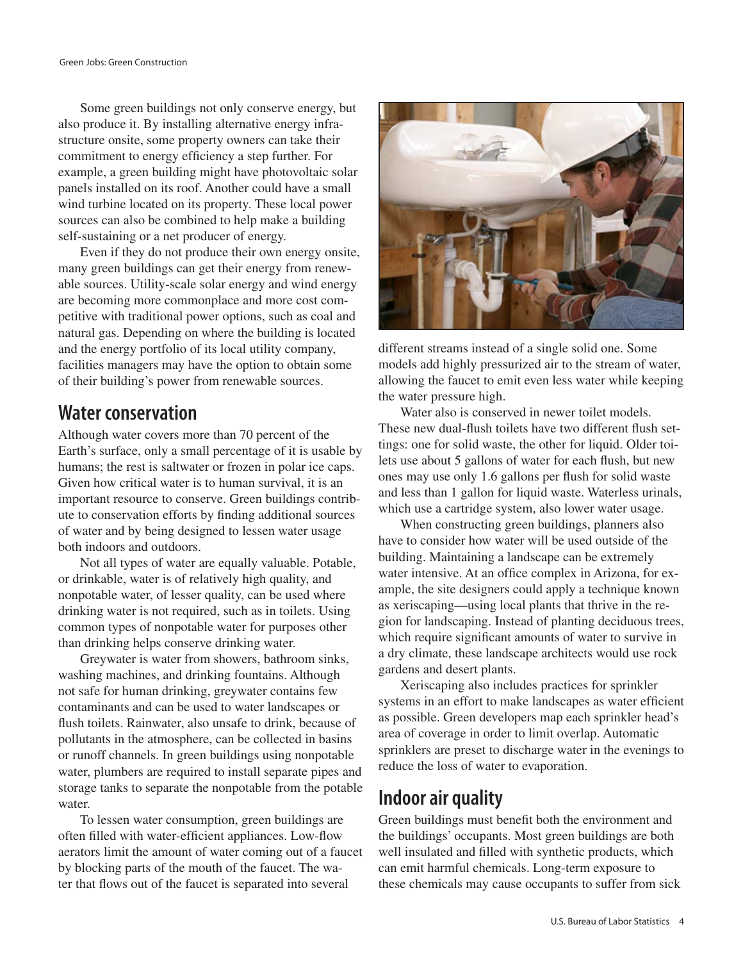Some green buildings not only conserve energy, but also produce it. By installing alternative energy infrastructure onsite, some property owners can take their commitment to energy efficiency a step further. For example, a green building might have photovoltaic solar panels installed on its roof. Another could have a small wind turbine located on its property. These local power sources can also be combined to help make a building self-sustaining or a net producer of energy.

Even if they do not produce their own energy onsite, many green buildings can get their energy from renewable sources. Utility-scale solar energy and wind energy are becoming more commonplace and more cost competitive with traditional power options, such as coal and natural gas. Depending on where the building is located and the energy portfolio of its local utility company, facilities managers may have the option to obtain some of their building's power from renewable sources.

### **Water conservation**

Although water covers more than 70 percent of the Earth's surface, only a small percentage of it is usable by humans; the rest is saltwater or frozen in polar ice caps. Given how critical water is to human survival, it is an important resource to conserve. Green buildings contribute to conservation efforts by finding additional sources of water and by being designed to lessen water usage both indoors and outdoors.

Not all types of water are equally valuable. Potable, or drinkable, water is of relatively high quality, and nonpotable water, of lesser quality, can be used where drinking water is not required, such as in toilets. Using common types of nonpotable water for purposes other than drinking helps conserve drinking water.

Greywater is water from showers, bathroom sinks, washing machines, and drinking fountains. Although not safe for human drinking, greywater contains few contaminants and can be used to water landscapes or flush toilets. Rainwater, also unsafe to drink, because of pollutants in the atmosphere, can be collected in basins or runoff channels. In green buildings using nonpotable water, plumbers are required to install separate pipes and storage tanks to separate the nonpotable from the potable water.

To lessen water consumption, green buildings are often filled with water-efficient appliances. Low-flow aerators limit the amount of water coming out of a faucet by blocking parts of the mouth of the faucet. The water that flows out of the faucet is separated into several



different streams instead of a single solid one. Some models add highly pressurized air to the stream of water, allowing the faucet to emit even less water while keeping the water pressure high.

Water also is conserved in newer toilet models. These new dual-flush toilets have two different flush settings: one for solid waste, the other for liquid. Older toilets use about 5 gallons of water for each flush, but new ones may use only 1.6 gallons per flush for solid waste and less than 1 gallon for liquid waste. Waterless urinals, which use a cartridge system, also lower water usage.

When constructing green buildings, planners also have to consider how water will be used outside of the building. Maintaining a landscape can be extremely water intensive. At an office complex in Arizona, for example, the site designers could apply a technique known as xeriscaping—using local plants that thrive in the region for landscaping. Instead of planting deciduous trees, which require significant amounts of water to survive in a dry climate, these landscape architects would use rock gardens and desert plants.

Xeriscaping also includes practices for sprinkler systems in an effort to make landscapes as water efficient as possible. Green developers map each sprinkler head's area of coverage in order to limit overlap. Automatic sprinklers are preset to discharge water in the evenings to reduce the loss of water to evaporation.

### **Indoor air quality**

Green buildings must benefit both the environment and the buildings' occupants. Most green buildings are both well insulated and filled with synthetic products, which can emit harmful chemicals. Long-term exposure to these chemicals may cause occupants to suffer from sick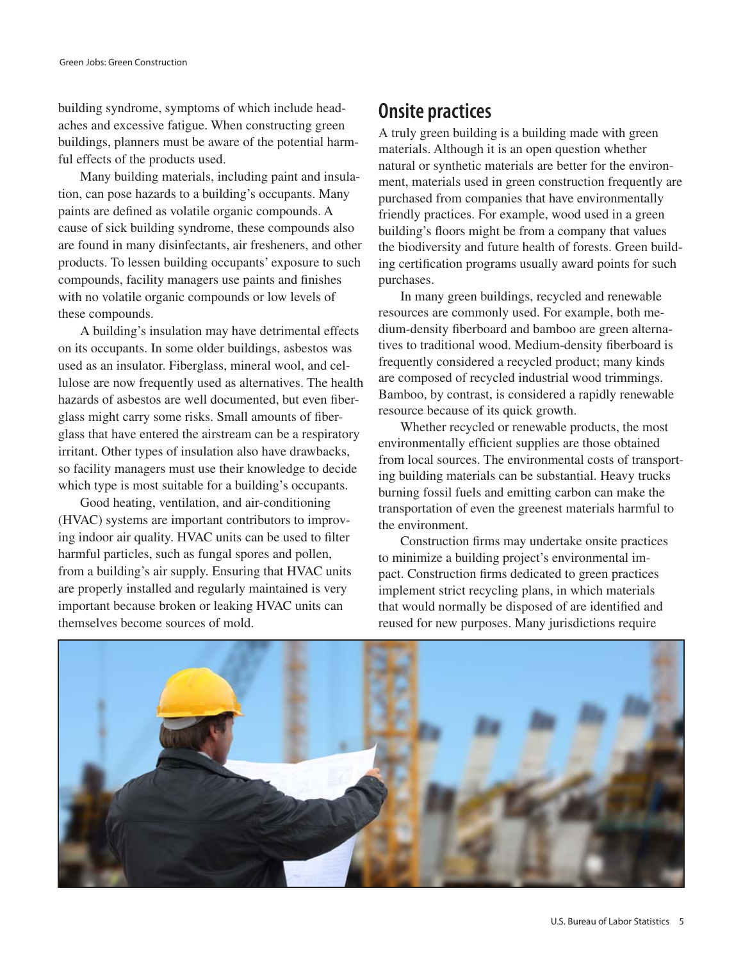building syndrome, symptoms of which include headaches and excessive fatigue. When constructing green buildings, planners must be aware of the potential harmful effects of the products used.

Many building materials, including paint and insulation, can pose hazards to a building's occupants. Many paints are defined as volatile organic compounds. A cause of sick building syndrome, these compounds also are found in many disinfectants, air fresheners, and other products. To lessen building occupants' exposure to such compounds, facility managers use paints and finishes with no volatile organic compounds or low levels of these compounds.

A building's insulation may have detrimental effects on its occupants. In some older buildings, asbestos was used as an insulator. Fiberglass, mineral wool, and cellulose are now frequently used as alternatives. The health hazards of asbestos are well documented, but even fiberglass might carry some risks. Small amounts of fiberglass that have entered the airstream can be a respiratory irritant. Other types of insulation also have drawbacks, so facility managers must use their knowledge to decide which type is most suitable for a building's occupants.

Good heating, ventilation, and air-conditioning (HVAC) systems are important contributors to improving indoor air quality. HVAC units can be used to filter harmful particles, such as fungal spores and pollen, from a building's air supply. Ensuring that HVAC units are properly installed and regularly maintained is very important because broken or leaking HVAC units can themselves become sources of mold.

# **Onsite practices**

A truly green building is a building made with green materials. Although it is an open question whether natural or synthetic materials are better for the environment, materials used in green construction frequently are purchased from companies that have environmentally friendly practices. For example, wood used in a green building's floors might be from a company that values the biodiversity and future health of forests. Green building certification programs usually award points for such purchases.

In many green buildings, recycled and renewable resources are commonly used. For example, both medium-density fiberboard and bamboo are green alternatives to traditional wood. Medium-density fiberboard is frequently considered a recycled product; many kinds are composed of recycled industrial wood trimmings. Bamboo, by contrast, is considered a rapidly renewable resource because of its quick growth.

Whether recycled or renewable products, the most environmentally efficient supplies are those obtained from local sources. The environmental costs of transporting building materials can be substantial. Heavy trucks burning fossil fuels and emitting carbon can make the transportation of even the greenest materials harmful to the environment.

Construction firms may undertake onsite practices to minimize a building project's environmental impact. Construction firms dedicated to green practices implement strict recycling plans, in which materials that would normally be disposed of are identified and reused for new purposes. Many jurisdictions require

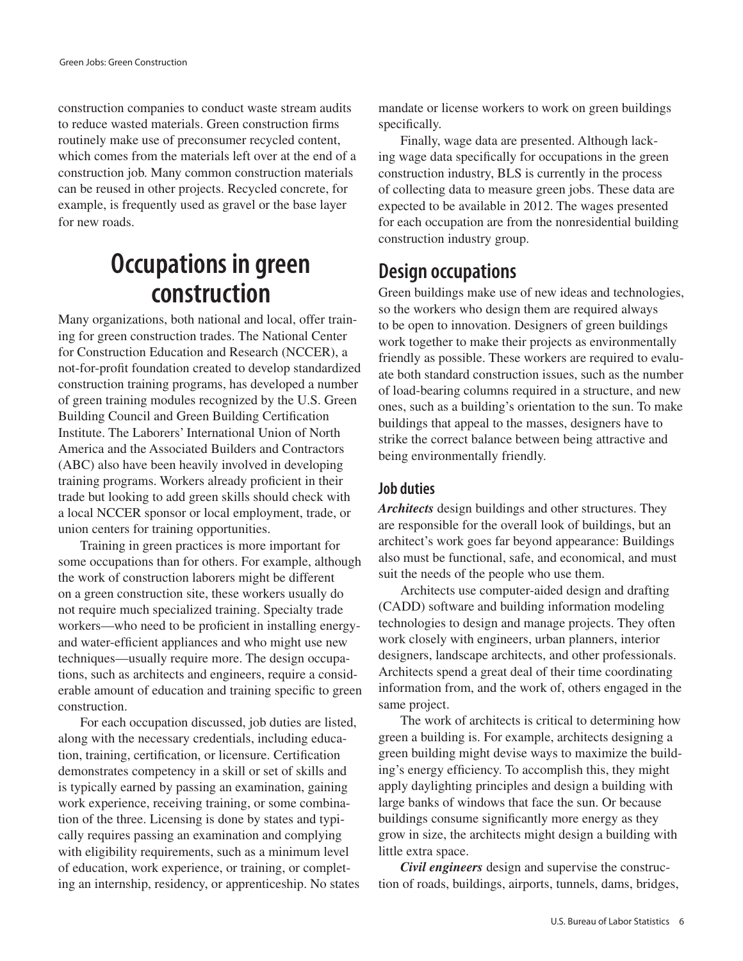construction companies to conduct waste stream audits to reduce wasted materials. Green construction firms routinely make use of preconsumer recycled content, which comes from the materials left over at the end of a construction job. Many common construction materials can be reused in other projects. Recycled concrete, for example, is frequently used as gravel or the base layer for new roads.

# **Occupations in green construction**

Many organizations, both national and local, offer training for green construction trades. The National Center for Construction Education and Research (NCCER), a not-for-profit foundation created to develop standardized construction training programs, has developed a number of green training modules recognized by the U.S. Green Building Council and Green Building Certification Institute. The Laborers' International Union of North America and the Associated Builders and Contractors (ABC) also have been heavily involved in developing training programs. Workers already proficient in their trade but looking to add green skills should check with a local NCCER sponsor or local employment, trade, or union centers for training opportunities.

Training in green practices is more important for some occupations than for others. For example, although the work of construction laborers might be different on a green construction site, these workers usually do not require much specialized training. Specialty trade workers—who need to be proficient in installing energyand water-efficient appliances and who might use new techniques—usually require more. The design occupations, such as architects and engineers, require a considerable amount of education and training specific to green construction.

For each occupation discussed, job duties are listed, along with the necessary credentials, including education, training, certification, or licensure. Certification demonstrates competency in a skill or set of skills and is typically earned by passing an examination, gaining work experience, receiving training, or some combination of the three. Licensing is done by states and typically requires passing an examination and complying with eligibility requirements, such as a minimum level of education, work experience, or training, or completing an internship, residency, or apprenticeship. No states mandate or license workers to work on green buildings specifically.

Finally, wage data are presented. Although lacking wage data specifically for occupations in the green construction industry, BLS is currently in the process of collecting data to measure green jobs. These data are expected to be available in 2012. The wages presented for each occupation are from the nonresidential building construction industry group.

# **Design occupations**

Green buildings make use of new ideas and technologies, so the workers who design them are required always to be open to innovation. Designers of green buildings work together to make their projects as environmentally friendly as possible. These workers are required to evaluate both standard construction issues, such as the number of load-bearing columns required in a structure, and new ones, such as a building's orientation to the sun. To make buildings that appeal to the masses, designers have to strike the correct balance between being attractive and being environmentally friendly.

#### **Job duties**

*Architects* design buildings and other structures. They are responsible for the overall look of buildings, but an architect's work goes far beyond appearance: Buildings also must be functional, safe, and economical, and must suit the needs of the people who use them.

Architects use computer-aided design and drafting (CADD) software and building information modeling technologies to design and manage projects. They often work closely with engineers, urban planners, interior designers, landscape architects, and other professionals. Architects spend a great deal of their time coordinating information from, and the work of, others engaged in the same project.

The work of architects is critical to determining how green a building is. For example, architects designing a green building might devise ways to maximize the building's energy efficiency. To accomplish this, they might apply daylighting principles and design a building with large banks of windows that face the sun. Or because buildings consume significantly more energy as they grow in size, the architects might design a building with little extra space.

*Civil engineers* design and supervise the construction of roads, buildings, airports, tunnels, dams, bridges,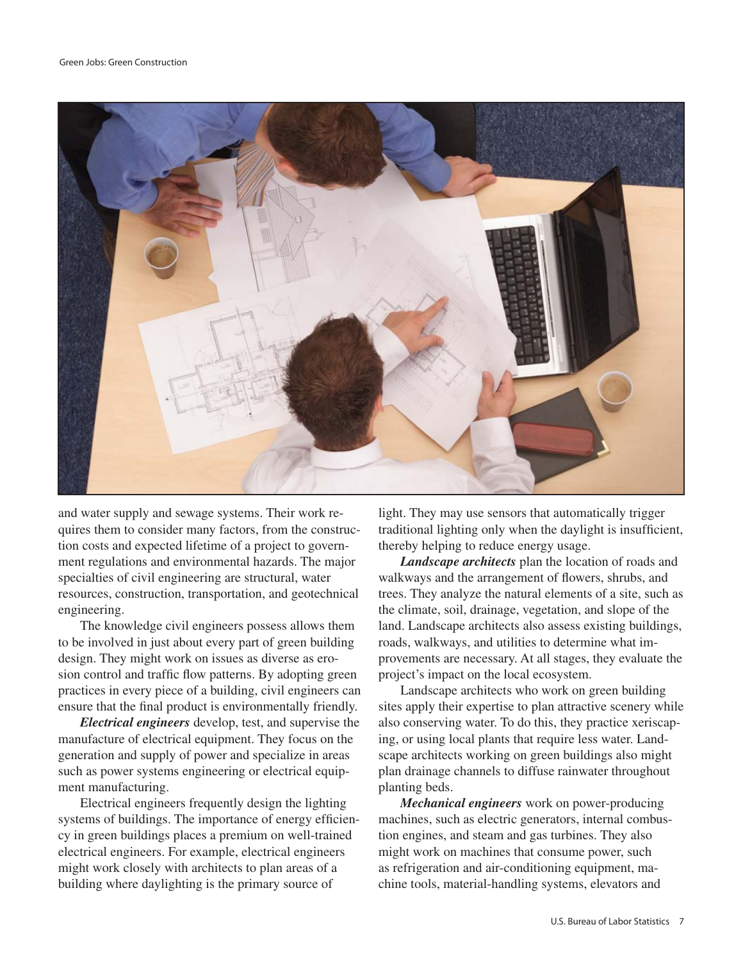

and water supply and sewage systems. Their work requires them to consider many factors, from the construction costs and expected lifetime of a project to government regulations and environmental hazards. The major specialties of civil engineering are structural, water resources, construction, transportation, and geotechnical engineering.

The knowledge civil engineers possess allows them to be involved in just about every part of green building design. They might work on issues as diverse as erosion control and traffic flow patterns. By adopting green practices in every piece of a building, civil engineers can ensure that the final product is environmentally friendly.

*Electrical engineers* develop, test, and supervise the manufacture of electrical equipment. They focus on the generation and supply of power and specialize in areas such as power systems engineering or electrical equipment manufacturing.

Electrical engineers frequently design the lighting systems of buildings. The importance of energy efficiency in green buildings places a premium on well-trained electrical engineers. For example, electrical engineers might work closely with architects to plan areas of a building where daylighting is the primary source of

light. They may use sensors that automatically trigger traditional lighting only when the daylight is insufficient, thereby helping to reduce energy usage.

*Landscape architects* plan the location of roads and walkways and the arrangement of flowers, shrubs, and trees. They analyze the natural elements of a site, such as the climate, soil, drainage, vegetation, and slope of the land. Landscape architects also assess existing buildings, roads, walkways, and utilities to determine what improvements are necessary. At all stages, they evaluate the project's impact on the local ecosystem.

Landscape architects who work on green building sites apply their expertise to plan attractive scenery while also conserving water. To do this, they practice xeriscaping, or using local plants that require less water. Landscape architects working on green buildings also might plan drainage channels to diffuse rainwater throughout planting beds.

*Mechanical engineers* work on power-producing machines, such as electric generators, internal combustion engines, and steam and gas turbines. They also might work on machines that consume power, such as refrigeration and air-conditioning equipment, machine tools, material-handling systems, elevators and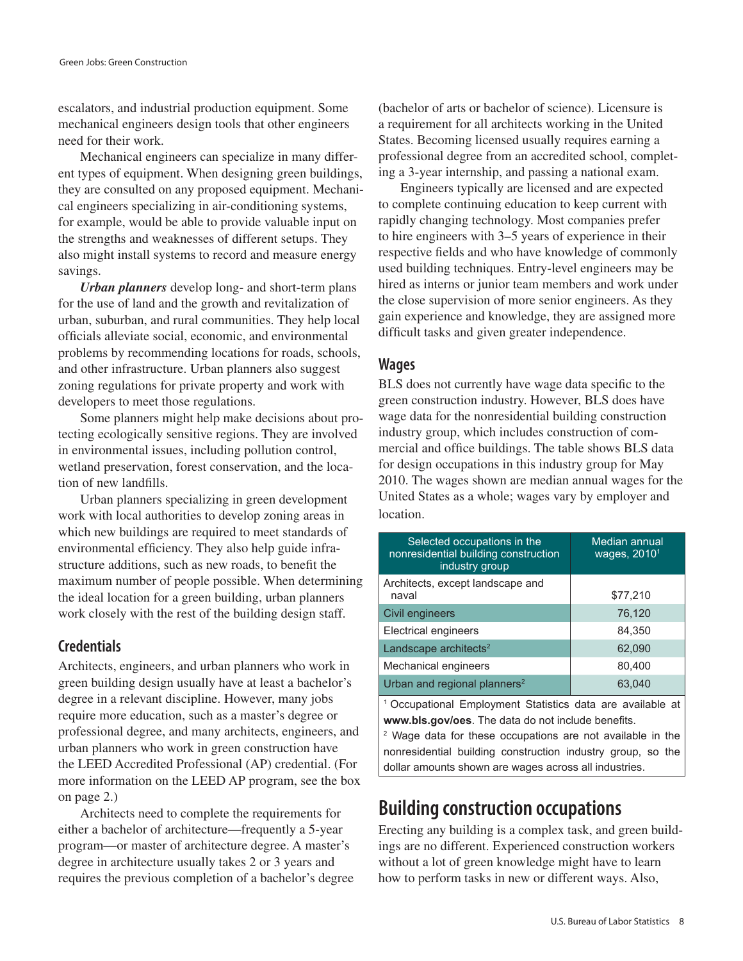escalators, and industrial production equipment. Some mechanical engineers design tools that other engineers need for their work.

Mechanical engineers can specialize in many different types of equipment. When designing green buildings, they are consulted on any proposed equipment. Mechanical engineers specializing in air-conditioning systems, for example, would be able to provide valuable input on the strengths and weaknesses of different setups. They also might install systems to record and measure energy savings.

*Urban planners* develop long- and short-term plans for the use of land and the growth and revitalization of urban, suburban, and rural communities. They help local officials alleviate social, economic, and environmental problems by recommending locations for roads, schools, and other infrastructure. Urban planners also suggest zoning regulations for private property and work with developers to meet those regulations.

Some planners might help make decisions about protecting ecologically sensitive regions. They are involved in environmental issues, including pollution control, wetland preservation, forest conservation, and the location of new landfills.

Urban planners specializing in green development work with local authorities to develop zoning areas in which new buildings are required to meet standards of environmental efficiency. They also help guide infrastructure additions, such as new roads, to benefit the maximum number of people possible. When determining the ideal location for a green building, urban planners work closely with the rest of the building design staff.

#### **Credentials**

Architects, engineers, and urban planners who work in green building design usually have at least a bachelor's degree in a relevant discipline. However, many jobs require more education, such as a master's degree or professional degree, and many architects, engineers, and urban planners who work in green construction have the LEED Accredited Professional (AP) credential. (For more information on the LEED AP program, see the box on page 2.)

Architects need to complete the requirements for either a bachelor of architecture—frequently a 5-year program—or master of architecture degree. A master's degree in architecture usually takes 2 or 3 years and requires the previous completion of a bachelor's degree (bachelor of arts or bachelor of science). Licensure is a requirement for all architects working in the United States. Becoming licensed usually requires earning a professional degree from an accredited school, completing a 3-year internship, and passing a national exam.

Engineers typically are licensed and are expected to complete continuing education to keep current with rapidly changing technology. Most companies prefer to hire engineers with 3–5 years of experience in their respective fields and who have knowledge of commonly used building techniques. Entry-level engineers may be hired as interns or junior team members and work under the close supervision of more senior engineers. As they gain experience and knowledge, they are assigned more difficult tasks and given greater independence.

#### **Wages**

BLS does not currently have wage data specific to the green construction industry. However, BLS does have wage data for the nonresidential building construction industry group, which includes construction of commercial and office buildings. The table shows BLS data for design occupations in this industry group for May 2010. The wages shown are median annual wages for the United States as a whole; wages vary by employer and location.

| Selected occupations in the<br>nonresidential building construction<br>industry group                                       | Median annual<br>wages, 2010 <sup>1</sup> |  |
|-----------------------------------------------------------------------------------------------------------------------------|-------------------------------------------|--|
| Architects, except landscape and<br>naval                                                                                   | \$77,210                                  |  |
| Civil engineers                                                                                                             | 76,120                                    |  |
| <b>Electrical engineers</b>                                                                                                 | 84,350                                    |  |
| Landscape architects <sup>2</sup>                                                                                           | 62,090                                    |  |
| Mechanical engineers                                                                                                        | 80,400                                    |  |
| Urban and regional planners <sup>2</sup>                                                                                    | 63,040                                    |  |
| <sup>1</sup> Occupational Employment Statistics data are available at<br>www.bls.gov/oes. The data do not include benefits. |                                           |  |

<sup>2</sup> Wage data for these occupations are not available in the nonresidential building construction industry group, so the dollar amounts shown are wages across all industries.

### **Building construction occupations**

Erecting any building is a complex task, and green buildings are no different. Experienced construction workers without a lot of green knowledge might have to learn how to perform tasks in new or different ways. Also,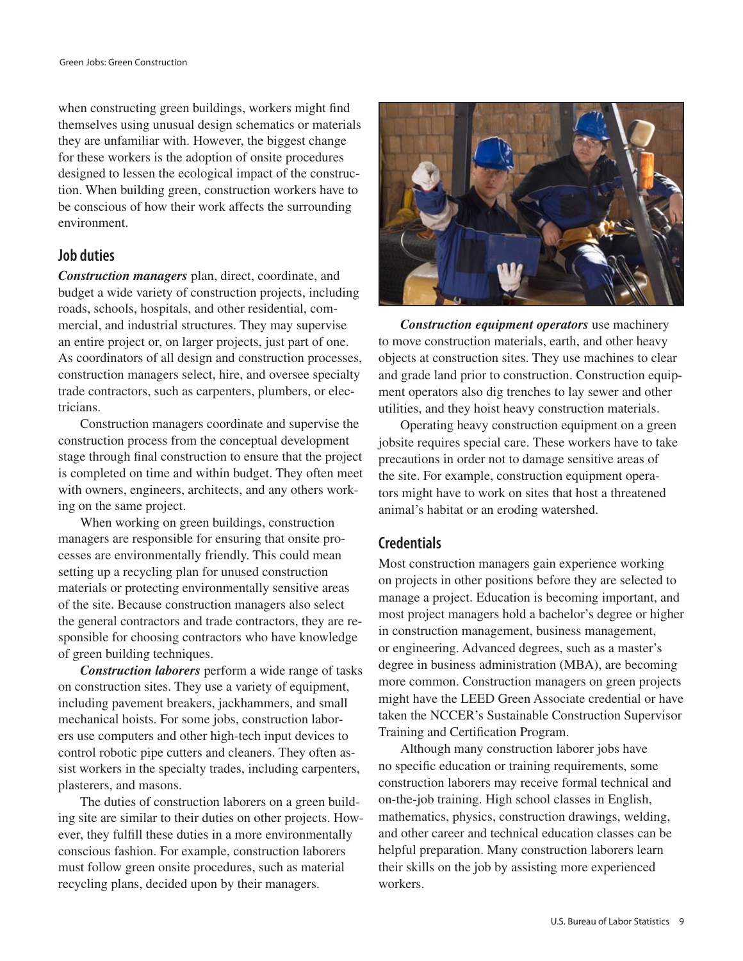when constructing green buildings, workers might find themselves using unusual design schematics or materials they are unfamiliar with. However, the biggest change for these workers is the adoption of onsite procedures designed to lessen the ecological impact of the construction. When building green, construction workers have to be conscious of how their work affects the surrounding environment.

#### **Job duties**

*Construction managers* plan, direct, coordinate, and budget a wide variety of construction projects, including roads, schools, hospitals, and other residential, commercial, and industrial structures. They may supervise an entire project or, on larger projects, just part of one. As coordinators of all design and construction processes, construction managers select, hire, and oversee specialty trade contractors, such as carpenters, plumbers, or electricians.

Construction managers coordinate and supervise the construction process from the conceptual development stage through final construction to ensure that the project is completed on time and within budget. They often meet with owners, engineers, architects, and any others working on the same project.

When working on green buildings, construction managers are responsible for ensuring that onsite processes are environmentally friendly. This could mean setting up a recycling plan for unused construction materials or protecting environmentally sensitive areas of the site. Because construction managers also select the general contractors and trade contractors, they are responsible for choosing contractors who have knowledge of green building techniques.

*Construction laborers* perform a wide range of tasks on construction sites. They use a variety of equipment, including pavement breakers, jackhammers, and small mechanical hoists. For some jobs, construction laborers use computers and other high-tech input devices to control robotic pipe cutters and cleaners. They often assist workers in the specialty trades, including carpenters, plasterers, and masons.

The duties of construction laborers on a green building site are similar to their duties on other projects. However, they fulfill these duties in a more environmentally conscious fashion. For example, construction laborers must follow green onsite procedures, such as material recycling plans, decided upon by their managers.



*Construction equipment operators* use machinery to move construction materials, earth, and other heavy objects at construction sites. They use machines to clear and grade land prior to construction. Construction equipment operators also dig trenches to lay sewer and other utilities, and they hoist heavy construction materials.

Operating heavy construction equipment on a green jobsite requires special care. These workers have to take precautions in order not to damage sensitive areas of the site. For example, construction equipment operators might have to work on sites that host a threatened animal's habitat or an eroding watershed.

#### **Credentials**

Most construction managers gain experience working on projects in other positions before they are selected to manage a project. Education is becoming important, and most project managers hold a bachelor's degree or higher in construction management, business management, or engineering. Advanced degrees, such as a master's degree in business administration (MBA), are becoming more common. Construction managers on green projects might have the LEED Green Associate credential or have taken the NCCER's Sustainable Construction Supervisor Training and Certification Program.

Although many construction laborer jobs have no specific education or training requirements, some construction laborers may receive formal technical and on-the-job training. High school classes in English, mathematics, physics, construction drawings, welding, and other career and technical education classes can be helpful preparation. Many construction laborers learn their skills on the job by assisting more experienced workers.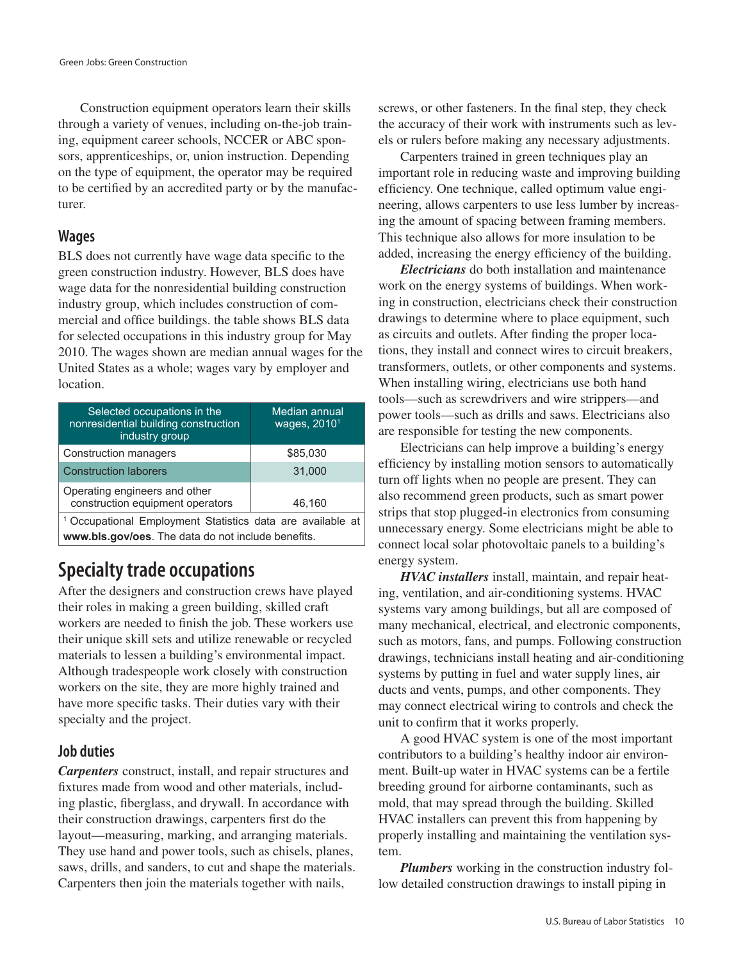Construction equipment operators learn their skills through a variety of venues, including on-the-job training, equipment career schools, NCCER or ABC sponsors, apprenticeships, or, union instruction. Depending on the type of equipment, the operator may be required to be certified by an accredited party or by the manufacturer.

#### **Wages**

BLS does not currently have wage data specific to the green construction industry. However, BLS does have wage data for the nonresidential building construction industry group, which includes construction of commercial and office buildings. the table shows BLS data for selected occupations in this industry group for May 2010. The wages shown are median annual wages for the United States as a whole; wages vary by employer and location.

| Selected occupations in the<br>nonresidential building construction<br>industry group | Median annual<br>wages, $20101$ |  |
|---------------------------------------------------------------------------------------|---------------------------------|--|
| <b>Construction managers</b>                                                          | \$85,030                        |  |
| <b>Construction laborers</b>                                                          | 31,000                          |  |
| Operating engineers and other<br>construction equipment operators                     | 46,160                          |  |
| <sup>1</sup> Occupational Employment Statistics data are available at                 |                                 |  |
| www.bls.gov/oes. The data do not include benefits.                                    |                                 |  |

# **Specialty trade occupations**

After the designers and construction crews have played their roles in making a green building, skilled craft workers are needed to finish the job. These workers use their unique skill sets and utilize renewable or recycled materials to lessen a building's environmental impact. Although tradespeople work closely with construction workers on the site, they are more highly trained and have more specific tasks. Their duties vary with their specialty and the project.

#### **Job duties**

*Carpenters* construct, install, and repair structures and fixtures made from wood and other materials, including plastic, fiberglass, and drywall. In accordance with their construction drawings, carpenters first do the layout—measuring, marking, and arranging materials. They use hand and power tools, such as chisels, planes, saws, drills, and sanders, to cut and shape the materials. Carpenters then join the materials together with nails,

screws, or other fasteners. In the final step, they check the accuracy of their work with instruments such as levels or rulers before making any necessary adjustments.

Carpenters trained in green techniques play an important role in reducing waste and improving building efficiency. One technique, called optimum value engineering, allows carpenters to use less lumber by increasing the amount of spacing between framing members. This technique also allows for more insulation to be added, increasing the energy efficiency of the building.

*Electricians* do both installation and maintenance work on the energy systems of buildings. When working in construction, electricians check their construction drawings to determine where to place equipment, such as circuits and outlets. After finding the proper locations, they install and connect wires to circuit breakers, transformers, outlets, or other components and systems. When installing wiring, electricians use both hand tools—such as screwdrivers and wire strippers—and power tools—such as drills and saws. Electricians also are responsible for testing the new components.

Electricians can help improve a building's energy efficiency by installing motion sensors to automatically turn off lights when no people are present. They can also recommend green products, such as smart power strips that stop plugged-in electronics from consuming unnecessary energy. Some electricians might be able to connect local solar photovoltaic panels to a building's energy system.

*HVAC installers* install, maintain, and repair heating, ventilation, and air-conditioning systems. HVAC systems vary among buildings, but all are composed of many mechanical, electrical, and electronic components, such as motors, fans, and pumps. Following construction drawings, technicians install heating and air-conditioning systems by putting in fuel and water supply lines, air ducts and vents, pumps, and other components. They may connect electrical wiring to controls and check the unit to confirm that it works properly.

A good HVAC system is one of the most important contributors to a building's healthy indoor air environment. Built-up water in HVAC systems can be a fertile breeding ground for airborne contaminants, such as mold, that may spread through the building. Skilled HVAC installers can prevent this from happening by properly installing and maintaining the ventilation system.

*Plumbers* working in the construction industry follow detailed construction drawings to install piping in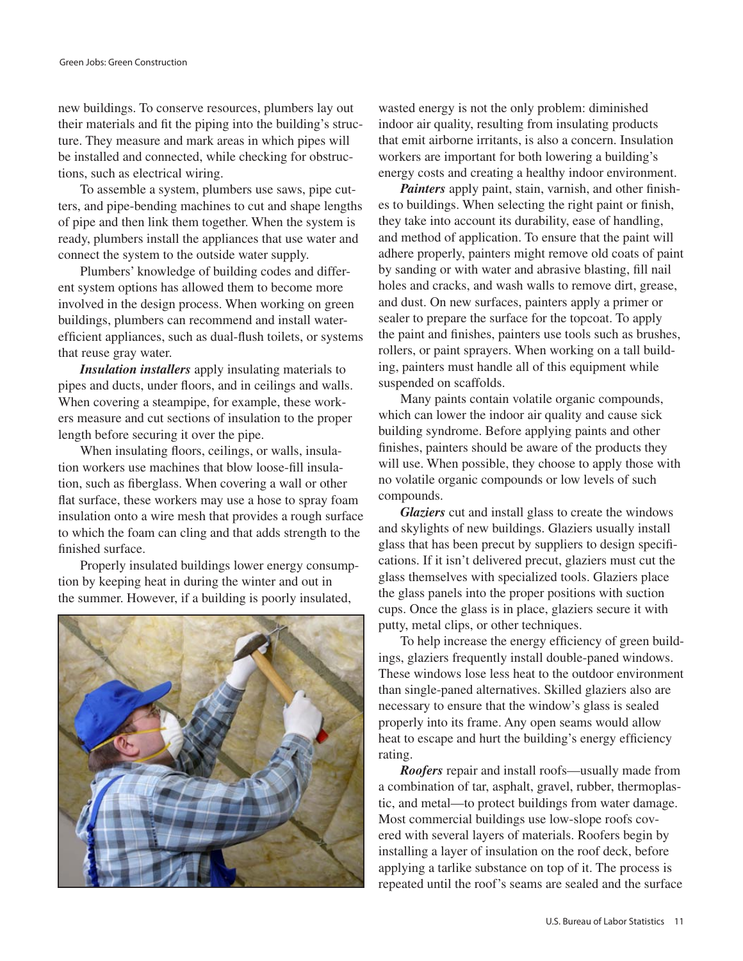new buildings. To conserve resources, plumbers lay out their materials and fit the piping into the building's structure. They measure and mark areas in which pipes will be installed and connected, while checking for obstructions, such as electrical wiring.

To assemble a system, plumbers use saws, pipe cutters, and pipe-bending machines to cut and shape lengths of pipe and then link them together. When the system is ready, plumbers install the appliances that use water and connect the system to the outside water supply.

Plumbers' knowledge of building codes and different system options has allowed them to become more involved in the design process. When working on green buildings, plumbers can recommend and install waterefficient appliances, such as dual-flush toilets, or systems that reuse gray water.

*Insulation installers* apply insulating materials to pipes and ducts, under floors, and in ceilings and walls. When covering a steampipe, for example, these workers measure and cut sections of insulation to the proper length before securing it over the pipe.

When insulating floors, ceilings, or walls, insulation workers use machines that blow loose-fill insulation, such as fiberglass. When covering a wall or other flat surface, these workers may use a hose to spray foam insulation onto a wire mesh that provides a rough surface to which the foam can cling and that adds strength to the finished surface.

Properly insulated buildings lower energy consumption by keeping heat in during the winter and out in the summer. However, if a building is poorly insulated,



wasted energy is not the only problem: diminished indoor air quality, resulting from insulating products that emit airborne irritants, is also a concern. Insulation workers are important for both lowering a building's energy costs and creating a healthy indoor environment.

*Painters* apply paint, stain, varnish, and other finishes to buildings. When selecting the right paint or finish, they take into account its durability, ease of handling, and method of application. To ensure that the paint will adhere properly, painters might remove old coats of paint by sanding or with water and abrasive blasting, fill nail holes and cracks, and wash walls to remove dirt, grease, and dust. On new surfaces, painters apply a primer or sealer to prepare the surface for the topcoat. To apply the paint and finishes, painters use tools such as brushes, rollers, or paint sprayers. When working on a tall building, painters must handle all of this equipment while suspended on scaffolds.

Many paints contain volatile organic compounds, which can lower the indoor air quality and cause sick building syndrome. Before applying paints and other finishes, painters should be aware of the products they will use. When possible, they choose to apply those with no volatile organic compounds or low levels of such compounds.

*Glaziers* cut and install glass to create the windows and skylights of new buildings. Glaziers usually install glass that has been precut by suppliers to design specifications. If it isn't delivered precut, glaziers must cut the glass themselves with specialized tools. Glaziers place the glass panels into the proper positions with suction cups. Once the glass is in place, glaziers secure it with putty, metal clips, or other techniques.

To help increase the energy efficiency of green buildings, glaziers frequently install double-paned windows. These windows lose less heat to the outdoor environment than single-paned alternatives. Skilled glaziers also are necessary to ensure that the window's glass is sealed properly into its frame. Any open seams would allow heat to escape and hurt the building's energy efficiency rating.

*Roofers* repair and install roofs—usually made from a combination of tar, asphalt, gravel, rubber, thermoplastic, and metal—to protect buildings from water damage. Most commercial buildings use low-slope roofs covered with several layers of materials. Roofers begin by installing a layer of insulation on the roof deck, before applying a tarlike substance on top of it. The process is repeated until the roof's seams are sealed and the surface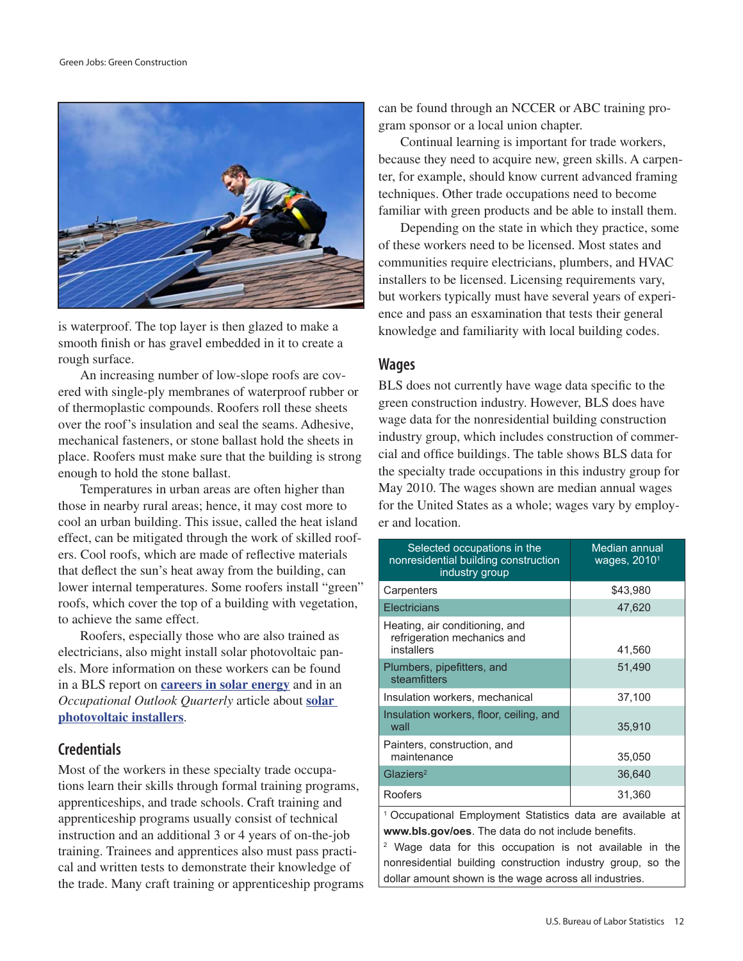

is waterproof. The top layer is then glazed to make a smooth finish or has gravel embedded in it to create a rough surface.

An increasing number of low-slope roofs are covered with single-ply membranes of waterproof rubber or of thermoplastic compounds. Roofers roll these sheets over the roof's insulation and seal the seams. Adhesive, mechanical fasteners, or stone ballast hold the sheets in place. Roofers must make sure that the building is strong enough to hold the stone ballast.

Temperatures in urban areas are often higher than those in nearby rural areas; hence, it may cost more to cool an urban building. This issue, called the heat island effect, can be mitigated through the work of skilled roofers. Cool roofs, which are made of reflective materials that deflect the sun's heat away from the building, can lower internal temperatures. Some roofers install "green" roofs, which cover the top of a building with vegetation, to achieve the same effect.

Roofers, especially those who are also trained as electricians, also might install solar photovoltaic panels. More information on these workers can be found in a BLS report on **[careers in solar energy](http://www.bls.gov/green/solar_power/solar_power.pdf)** and in an *Occupational Outlook Quarterly* article about **[solar](http://www.bls.gov/opub/ooq/2009/fall/yawhat.htm)  [photovoltaic installers](http://www.bls.gov/opub/ooq/2009/fall/yawhat.htm)**.

#### **Credentials**

Most of the workers in these specialty trade occupations learn their skills through formal training programs, apprenticeships, and trade schools. Craft training and apprenticeship programs usually consist of technical instruction and an additional 3 or 4 years of on-the-job training. Trainees and apprentices also must pass practical and written tests to demonstrate their knowledge of the trade. Many craft training or apprenticeship programs can be found through an NCCER or ABC training program sponsor or a local union chapter.

Continual learning is important for trade workers, because they need to acquire new, green skills. A carpenter, for example, should know current advanced framing techniques. Other trade occupations need to become familiar with green products and be able to install them.

Depending on the state in which they practice, some of these workers need to be licensed. Most states and communities require electricians, plumbers, and HVAC installers to be licensed. Licensing requirements vary, but workers typically must have several years of experience and pass an esxamination that tests their general knowledge and familiarity with local building codes.

#### **Wages**

BLS does not currently have wage data specific to the green construction industry. However, BLS does have wage data for the nonresidential building construction industry group, which includes construction of commercial and office buildings. The table shows BLS data for the specialty trade occupations in this industry group for May 2010. The wages shown are median annual wages for the United States as a whole; wages vary by employer and location.

| Selected occupations in the<br>nonresidential building construction<br>industry group                                       | Median annual<br>wages, 2010 <sup>1</sup> |  |
|-----------------------------------------------------------------------------------------------------------------------------|-------------------------------------------|--|
| Carpenters                                                                                                                  | \$43,980                                  |  |
| <b>Electricians</b>                                                                                                         | 47,620                                    |  |
| Heating, air conditioning, and<br>refrigeration mechanics and<br>installers                                                 | 41,560                                    |  |
| Plumbers, pipefitters, and<br>steamfitters                                                                                  | 51,490                                    |  |
| Insulation workers, mechanical                                                                                              | 37,100                                    |  |
| Insulation workers, floor, ceiling, and<br>wall                                                                             | 35,910                                    |  |
| Painters, construction, and<br>maintenance                                                                                  | 35,050                                    |  |
| $G$ laziers <sup>2</sup>                                                                                                    | 36,640                                    |  |
| Roofers                                                                                                                     | 31,360                                    |  |
| <sup>1</sup> Occupational Employment Statistics data are available at<br>www.bls.gov/oes. The data do not include benefits. |                                           |  |
| <sup>2</sup> Wage data for this occupation is not available in the                                                          |                                           |  |
| nonresidential building construction industry group, so the                                                                 |                                           |  |
| dollar amount shown is the wage across all industries.                                                                      |                                           |  |